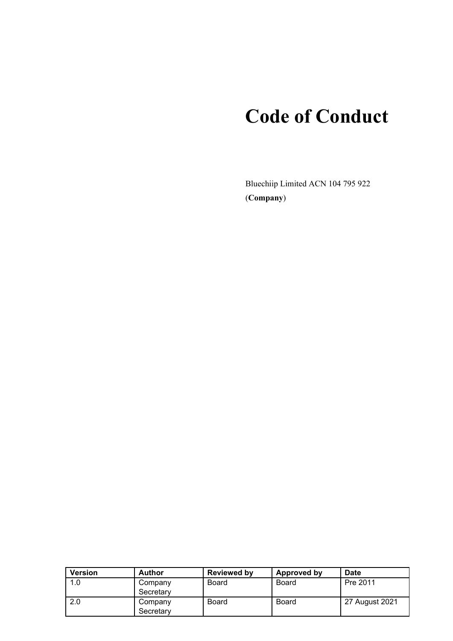# **Code of Conduct**

Bluechiip Limited ACN 104 795 922 (**Company**)

| <b>Version</b> | <b>Author</b>        | <b>Reviewed by</b> | Approved by  | <b>Date</b>    |
|----------------|----------------------|--------------------|--------------|----------------|
| 1.0            | Company<br>Secretary | Board              | Board        | Pre 2011       |
| 2.0            | Company<br>Secretary | <b>Board</b>       | <b>Board</b> | 27 August 2021 |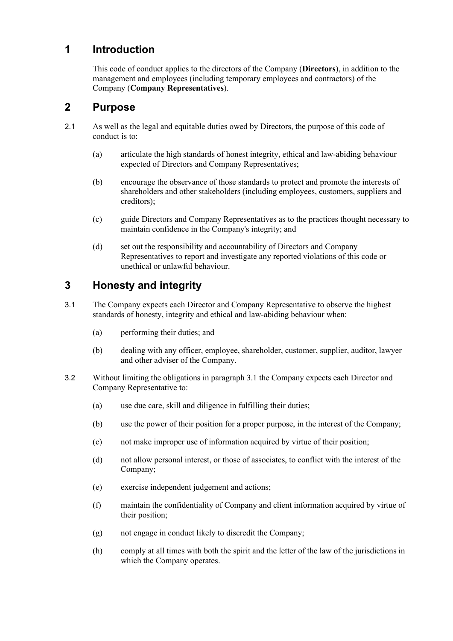## **1 Introduction**

This code of conduct applies to the directors of the Company (**Directors**), in addition to the management and employees (including temporary employees and contractors) of the Company (**Company Representatives**).

### **2 Purpose**

- 2.1 As well as the legal and equitable duties owed by Directors, the purpose of this code of conduct is to:
	- (a) articulate the high standards of honest integrity, ethical and law-abiding behaviour expected of Directors and Company Representatives;
	- (b) encourage the observance of those standards to protect and promote the interests of shareholders and other stakeholders (including employees, customers, suppliers and creditors);
	- (c) guide Directors and Company Representatives as to the practices thought necessary to maintain confidence in the Company's integrity; and
	- (d) set out the responsibility and accountability of Directors and Company Representatives to report and investigate any reported violations of this code or unethical or unlawful behaviour.

# **3 Honesty and integrity**

- 3.1 The Company expects each Director and Company Representative to observe the highest standards of honesty, integrity and ethical and law-abiding behaviour when:
	- (a) performing their duties; and
	- (b) dealing with any officer, employee, shareholder, customer, supplier, auditor, lawyer and other adviser of the Company.
- 3.2 Without limiting the obligations in paragraph 3.1 the Company expects each Director and Company Representative to:
	- (a) use due care, skill and diligence in fulfilling their duties;
	- (b) use the power of their position for a proper purpose, in the interest of the Company;
	- (c) not make improper use of information acquired by virtue of their position;
	- (d) not allow personal interest, or those of associates, to conflict with the interest of the Company;
	- (e) exercise independent judgement and actions;
	- (f) maintain the confidentiality of Company and client information acquired by virtue of their position;
	- (g) not engage in conduct likely to discredit the Company;
	- (h) comply at all times with both the spirit and the letter of the law of the jurisdictions in which the Company operates.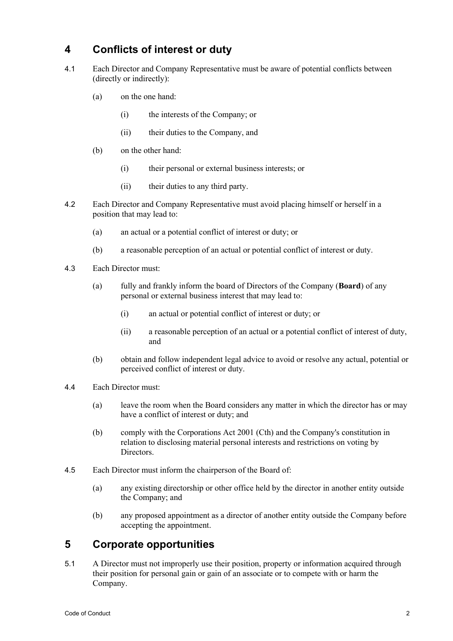### **4 Conflicts of interest or duty**

- 4.1 Each Director and Company Representative must be aware of potential conflicts between (directly or indirectly):
	- (a) on the one hand:
		- (i) the interests of the Company; or
		- (ii) their duties to the Company, and
	- (b) on the other hand:
		- (i) their personal or external business interests; or
		- (ii) their duties to any third party.
- 4.2 Each Director and Company Representative must avoid placing himself or herself in a position that may lead to:
	- (a) an actual or a potential conflict of interest or duty; or
	- (b) a reasonable perception of an actual or potential conflict of interest or duty.
- 4.3 Each Director must:
	- (a) fully and frankly inform the board of Directors of the Company (**Board**) of any personal or external business interest that may lead to:
		- (i) an actual or potential conflict of interest or duty; or
		- (ii) a reasonable perception of an actual or a potential conflict of interest of duty, and
	- (b) obtain and follow independent legal advice to avoid or resolve any actual, potential or perceived conflict of interest or duty.
- 4.4 Each Director must:
	- (a) leave the room when the Board considers any matter in which the director has or may have a conflict of interest or duty; and
	- (b) comply with the Corporations Act 2001 (Cth) and the Company's constitution in relation to disclosing material personal interests and restrictions on voting by Directors.
- 4.5 Each Director must inform the chairperson of the Board of:
	- (a) any existing directorship or other office held by the director in another entity outside the Company; and
	- (b) any proposed appointment as a director of another entity outside the Company before accepting the appointment.

# **5 Corporate opportunities**

5.1 A Director must not improperly use their position, property or information acquired through their position for personal gain or gain of an associate or to compete with or harm the Company.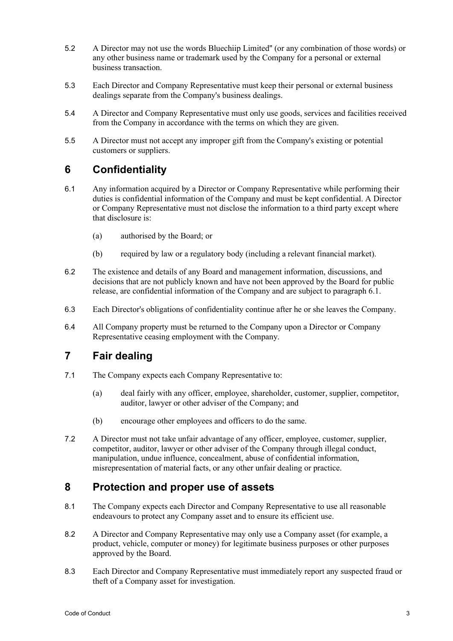- 5.2 A Director may not use the words Bluechiip Limited'' (or any combination of those words) or any other business name or trademark used by the Company for a personal or external business transaction.
- 5.3 Each Director and Company Representative must keep their personal or external business dealings separate from the Company's business dealings.
- 5.4 A Director and Company Representative must only use goods, services and facilities received from the Company in accordance with the terms on which they are given.
- 5.5 A Director must not accept any improper gift from the Company's existing or potential customers or suppliers.

# **6 Confidentiality**

- <span id="page-3-0"></span>6.1 Any information acquired by a Director or Company Representative while performing their duties is confidential information of the Company and must be kept confidential. A Director or Company Representative must not disclose the information to a third party except where that disclosure is:
	- (a) authorised by the Board; or
	- (b) required by law or a regulatory body (including a relevant financial market).
- 6.2 The existence and details of any Board and management information, discussions, and decisions that are not publicly known and have not been approved by the Board for public release, are confidential information of the Company and are subject to paragraph [6.1.](#page-3-0)
- 6.3 Each Director's obligations of confidentiality continue after he or she leaves the Company.
- 6.4 All Company property must be returned to the Company upon a Director or Company Representative ceasing employment with the Company.

# **7 Fair dealing**

- 7.1 The Company expects each Company Representative to:
	- (a) deal fairly with any officer, employee, shareholder, customer, supplier, competitor, auditor, lawyer or other adviser of the Company; and
	- (b) encourage other employees and officers to do the same.
- 7.2 A Director must not take unfair advantage of any officer, employee, customer, supplier, competitor, auditor, lawyer or other adviser of the Company through illegal conduct, manipulation, undue influence, concealment, abuse of confidential information, misrepresentation of material facts, or any other unfair dealing or practice.

#### **8 Protection and proper use of assets**

- 8.1 The Company expects each Director and Company Representative to use all reasonable endeavours to protect any Company asset and to ensure its efficient use.
- 8.2 A Director and Company Representative may only use a Company asset (for example, a product, vehicle, computer or money) for legitimate business purposes or other purposes approved by the Board.
- 8.3 Each Director and Company Representative must immediately report any suspected fraud or theft of a Company asset for investigation.